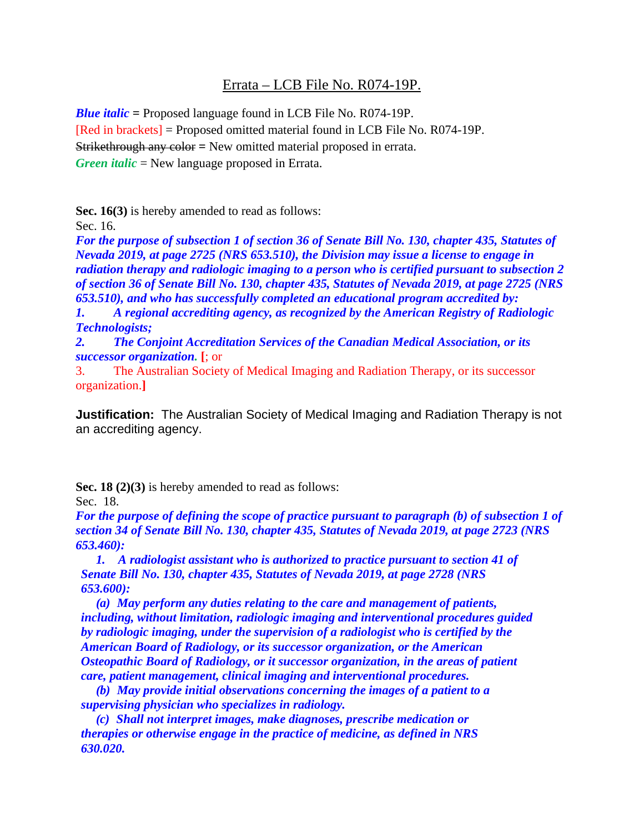## Errata – LCB File No. R074-19P.

*Blue italic* **=** Proposed language found in LCB File No. R074-19P. [Red in brackets] = Proposed omitted material found in LCB File No. R074-19P. Strikethrough any color **=** New omitted material proposed in errata. *Green italic* = New language proposed in Errata.

**Sec. 16(3)** is hereby amended to read as follows:

Sec. 16.

*For the purpose of subsection 1 of section 36 of Senate Bill No. 130, chapter 435, Statutes of Nevada 2019, at page 2725 (NRS 653.510), the Division may issue a license to engage in radiation therapy and radiologic imaging to a person who is certified pursuant to subsection 2 of section 36 of Senate Bill No. 130, chapter 435, Statutes of Nevada 2019, at page 2725 (NRS 653.510), and who has successfully completed an educational program accredited by:* 

*1. A regional accrediting agency, as recognized by the American Registry of Radiologic Technologists;* 

*2. The Conjoint Accreditation Services of the Canadian Medical Association, or its successor organization.* **[**; or

3. The Australian Society of Medical Imaging and Radiation Therapy, or its successor organization.**]**

**Justification:** The Australian Society of Medical Imaging and Radiation Therapy is not an accrediting agency.

**Sec. 18 (2)(3)** is hereby amended to read as follows:

Sec. 18.

*For the purpose of defining the scope of practice pursuant to paragraph (b) of subsection 1 of section 34 of Senate Bill No. 130, chapter 435, Statutes of Nevada 2019, at page 2723 (NRS 653.460):*

*1. A radiologist assistant who is authorized to practice pursuant to section 41 of Senate Bill No. 130, chapter 435, Statutes of Nevada 2019, at page 2728 (NRS 653.600):*

*(a) May perform any duties relating to the care and management of patients, including, without limitation, radiologic imaging and interventional procedures guided by radiologic imaging, under the supervision of a radiologist who is certified by the American Board of Radiology, or its successor organization, or the American Osteopathic Board of Radiology, or it successor organization, in the areas of patient care, patient management, clinical imaging and interventional procedures.*

*(b) May provide initial observations concerning the images of a patient to a supervising physician who specializes in radiology.*

*(c) Shall not interpret images, make diagnoses, prescribe medication or therapies or otherwise engage in the practice of medicine, as defined in NRS 630.020.*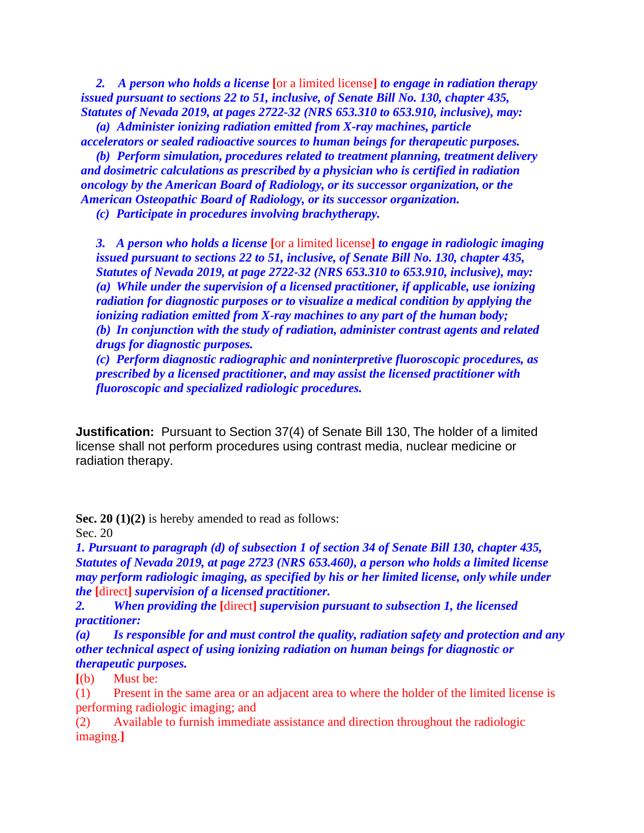*2. A person who holds a license* **[**or a limited license**]** *to engage in radiation therapy issued pursuant to sections 22 to 51, inclusive, of Senate Bill No. 130, chapter 435, Statutes of Nevada 2019, at pages 2722-32 (NRS 653.310 to 653.910, inclusive), may:*

*(a) Administer ionizing radiation emitted from X-ray machines, particle accelerators or sealed radioactive sources to human beings for therapeutic purposes.*

*(b) Perform simulation, procedures related to treatment planning, treatment delivery and dosimetric calculations as prescribed by a physician who is certified in radiation oncology by the American Board of Radiology, or its successor organization, or the American Osteopathic Board of Radiology, or its successor organization.*

*(c) Participate in procedures involving brachytherapy.*

*3. A person who holds a license* **[**or a limited license**]** *to engage in radiologic imaging issued pursuant to sections 22 to 51, inclusive, of Senate Bill No. 130, chapter 435, Statutes of Nevada 2019, at page 2722-32 (NRS 653.310 to 653.910, inclusive), may: (a) While under the supervision of a licensed practitioner, if applicable, use ionizing radiation for diagnostic purposes or to visualize a medical condition by applying the ionizing radiation emitted from X-ray machines to any part of the human body; (b) In conjunction with the study of radiation, administer contrast agents and related drugs for diagnostic purposes.* 

*(c) Perform diagnostic radiographic and noninterpretive fluoroscopic procedures, as prescribed by a licensed practitioner, and may assist the licensed practitioner with fluoroscopic and specialized radiologic procedures.* 

**Justification:** Pursuant to Section 37(4) of Senate Bill 130, The holder of a limited license shall not perform procedures using contrast media, nuclear medicine or radiation therapy.

**Sec. 20 (1)(2)** is hereby amended to read as follows: Sec. 20

*1. Pursuant to paragraph (d) of subsection 1 of section 34 of Senate Bill 130, chapter 435, Statutes of Nevada 2019, at page 2723 (NRS 653.460), a person who holds a limited license may perform radiologic imaging, as specified by his or her limited license, only while under the* **[**direct**]** *supervision of a licensed practitioner.*

*2. When providing the* **[**direct**]** *supervision pursuant to subsection 1, the licensed practitioner:*

*(a) Is responsible for and must control the quality, radiation safety and protection and any other technical aspect of using ionizing radiation on human beings for diagnostic or therapeutic purposes.* 

**[**(b) Must be:

(1) Present in the same area or an adjacent area to where the holder of the limited license is performing radiologic imaging; and

(2) Available to furnish immediate assistance and direction throughout the radiologic imaging.**]**